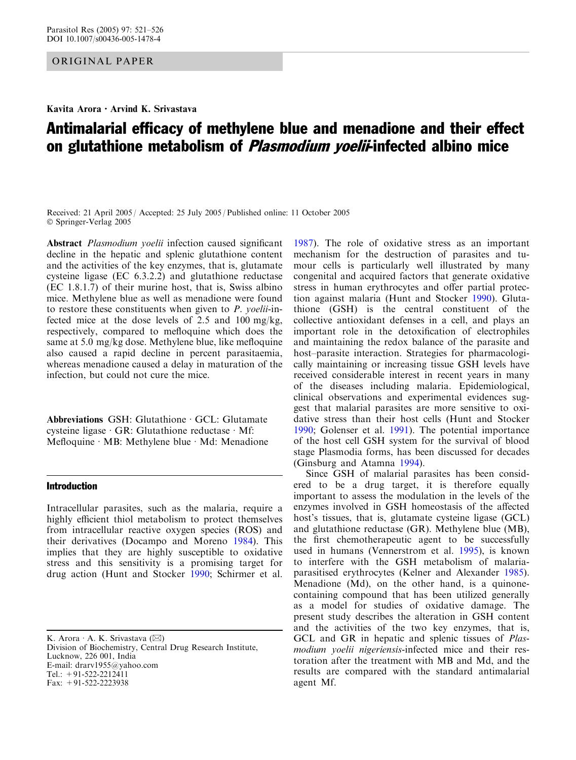ORIGINAL PAPER

Kavita Arora  $\cdot$  Arvind K. Srivastava

# Antimalarial efficacy of methylene blue and menadione and their effect on glutathione metabolism of *Plasmodium yoelii*-infected albino mice

Received: 21 April 2005 / Accepted: 25 July 2005 / Published online: 11 October 2005 Springer-Verlag 2005

Abstract Plasmodium yoelii infection caused significant decline in the hepatic and splenic glutathione content and the activities of the key enzymes, that is, glutamate cysteine ligase (EC 6.3.2.2) and glutathione reductase (EC 1.8.1.7) of their murine host, that is, Swiss albino mice. Methylene blue as well as menadione were found to restore these constituents when given to P. yoelii-infected mice at the dose levels of 2.5 and 100 mg/kg, respectively, compared to mefloquine which does the same at 5.0 mg/kg dose. Methylene blue, like mefloquine also caused a rapid decline in percent parasitaemia, whereas menadione caused a delay in maturation of the infection, but could not cure the mice.

Abbreviations  $GSH$ : Glutathione  $\cdot$  GCL: Glutamate cysteine ligase  $\cdot$  GR: Glutathione reductase  $\cdot$  Mf: Mefloquine · MB: Methylene blue · Md: Menadione

# Introduction

Intracellular parasites, such as the malaria, require a highly efficient thiol metabolism to protect themselves from intracellular reactive oxygen species (ROS) and their derivatives (Docampo and Moreno [1984](#page-5-0)). This implies that they are highly susceptible to oxidative stress and this sensitivity is a promising target for drug action (Hunt and Stocker [1990;](#page-5-0) Schirmer et al.

K. Arora  $\cdot$  A. K. Srivastava ( $\boxtimes$ ) Division of Biochemistry, Central Drug Research Institute, Lucknow, 226 001, India E-mail: drarv1955@yahoo.com Tel.:  $+91-522-2212411$ Fax: +91-522-2223938

[1987\)](#page-5-0). The role of oxidative stress as an important mechanism for the destruction of parasites and tumour cells is particularly well illustrated by many congenital and acquired factors that generate oxidative stress in human erythrocytes and offer partial protection against malaria (Hunt and Stocker [1990\)](#page-5-0). Glutathione (GSH) is the central constituent of the collective antioxidant defenses in a cell, and plays an important role in the detoxification of electrophiles and maintaining the redox balance of the parasite and host–parasite interaction. Strategies for pharmacologically maintaining or increasing tissue GSH levels have received considerable interest in recent years in many of the diseases including malaria. Epidemiological, clinical observations and experimental evidences suggest that malarial parasites are more sensitive to oxidative stress than their host cells (Hunt and Stocker [1990;](#page-5-0) Golenser et al. [1991\)](#page-5-0). The potential importance of the host cell GSH system for the survival of blood stage Plasmodia forms, has been discussed for decades (Ginsburg and Atamna [1994](#page-5-0)).

Since GSH of malarial parasites has been considered to be a drug target, it is therefore equally important to assess the modulation in the levels of the enzymes involved in GSH homeostasis of the affected host's tissues, that is, glutamate cysteine ligase (GCL) and glutathione reductase (GR). Methylene blue (MB), the first chemotherapeutic agent to be successfully used in humans (Vennerstrom et al. [1995](#page-5-0)), is known to interfere with the GSH metabolism of malariaparasitised erythrocytes (Kelner and Alexander [1985\)](#page-5-0). Menadione (Md), on the other hand, is a quinonecontaining compound that has been utilized generally as a model for studies of oxidative damage. The present study describes the alteration in GSH content and the activities of the two key enzymes, that is, GCL and GR in hepatic and splenic tissues of *Plas*modium yoelii nigeriensis-infected mice and their restoration after the treatment with MB and Md, and the results are compared with the standard antimalarial agent Mf.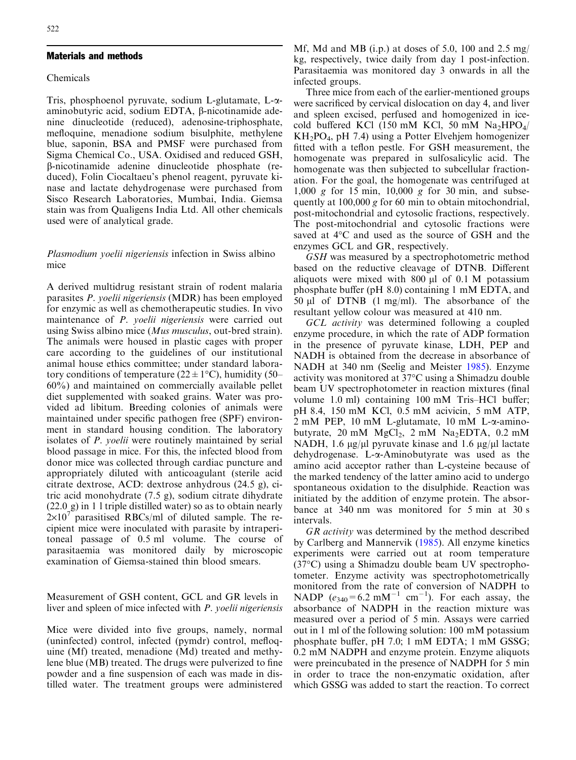# Materials and methods

## Chemicals

Tris, phosphoenol pyruvate, sodium L-glutamate, L-aaminobutyric acid, sodium EDTA,  $\beta$ -nicotinamide adenine dinucleotide (reduced), adenosine-triphosphate, mefloquine, menadione sodium bisulphite, methylene blue, saponin, BSA and PMSF were purchased from Sigma Chemical Co., USA. Oxidised and reduced GSH, b-nicotinamide adenine dinucleotide phosphate (reduced), Folin Ciocaltaeu's phenol reagent, pyruvate kinase and lactate dehydrogenase were purchased from Sisco Research Laboratories, Mumbai, India. Giemsa stain was from Qualigens India Ltd. All other chemicals used were of analytical grade.

# Plasmodium yoelii nigeriensis infection in Swiss albino mice

A derived multidrug resistant strain of rodent malaria parasites P. yoelii nigeriensis (MDR) has been employed for enzymic as well as chemotherapeutic studies. In vivo maintenance of P. yoelii nigeriensis were carried out using Swiss albino mice (*Mus musculus*, out-bred strain). The animals were housed in plastic cages with proper care according to the guidelines of our institutional animal house ethics committee; under standard laboratory conditions of temperature ( $22 \pm 1$ °C), humidity (50– 60%) and maintained on commercially available pellet diet supplemented with soaked grains. Water was provided ad libitum. Breeding colonies of animals were maintained under specific pathogen free (SPF) environment in standard housing condition. The laboratory isolates of P. yoelii were routinely maintained by serial blood passage in mice. For this, the infected blood from donor mice was collected through cardiac puncture and appropriately diluted with anticoagulant (sterile acid citrate dextrose, ACD: dextrose anhydrous (24.5 g), citric acid monohydrate (7.5 g), sodium citrate dihydrate (22.0 g) in 1 l triple distilled water) so as to obtain nearly  $2\times10^{7}$  parasitised RBCs/ml of diluted sample. The recipient mice were inoculated with parasite by intraperitoneal passage of 0.5 ml volume. The course of parasitaemia was monitored daily by microscopic examination of Giemsa-stained thin blood smears.

Measurement of GSH content, GCL and GR levels in liver and spleen of mice infected with P. yoelii nigeriensis

Mice were divided into five groups, namely, normal (uninfected) control, infected (pymdr) control, mefloquine (Mf) treated, menadione (Md) treated and methylene blue (MB) treated. The drugs were pulverized to fine powder and a fine suspension of each was made in distilled water. The treatment groups were administered

Mf, Md and MB (i.p.) at doses of 5.0, 100 and 2.5 mg/ kg, respectively, twice daily from day 1 post-infection. Parasitaemia was monitored day 3 onwards in all the infected groups.

Three mice from each of the earlier-mentioned groups were sacrificed by cervical dislocation on day 4, and liver and spleen excised, perfused and homogenized in icecold buffered KCl (150 mM KCl, 50 mM  $Na<sub>2</sub>HPO<sub>4</sub>/$  $KH<sub>2</sub>PO<sub>4</sub>$ , pH 7.4) using a Potter Elvehjem homogenizer fitted with a teflon pestle. For GSH measurement, the homogenate was prepared in sulfosalicylic acid. The homogenate was then subjected to subcellular fractionation. For the goal, the homogenate was centrifuged at 1,000 g for 15 min, 10,000 g for 30 min, and subsequently at 100,000 g for 60 min to obtain mitochondrial, post-mitochondrial and cytosolic fractions, respectively. The post-mitochondrial and cytosolic fractions were saved at 4°C and used as the source of GSH and the enzymes GCL and GR, respectively.

GSH was measured by a spectrophotometric method based on the reductive cleavage of DTNB. Different aliquots were mixed with  $800 \mu l$  of 0.1 M potassium phosphate buffer (pH 8.0) containing 1 mM EDTA, and 50  $\mu$ l of DTNB (1 mg/ml). The absorbance of the resultant yellow colour was measured at 410 nm.

GCL activity was determined following a coupled enzyme procedure, in which the rate of ADP formation in the presence of pyruvate kinase, LDH, PEP and NADH is obtained from the decrease in absorbance of NADH at 340 nm (Seelig and Meister [1985\)](#page-5-0). Enzyme activity was monitored at 37°C using a Shimadzu double beam UV spectrophotometer in reaction mixtures (final volume 1.0 ml) containing 100 mM Tris–HCl buffer; pH 8.4, 150 mM KCl, 0.5 mM acivicin, 5 mM ATP,  $2 \text{ mM } PEP$ , 10 mM L-glutamate, 10 mM L- $\alpha$ -aminobutyrate, 20 mM  $MgCl<sub>2</sub>$ , 2 mM Na<sub>2</sub>EDTA, 0.2 mM NADH, 1.6  $\mu$ g/ $\mu$ l pyruvate kinase and 1.6  $\mu$ g/ $\mu$ l lactate dehydrogenase. L-a-Aminobutyrate was used as the amino acid acceptor rather than L-cysteine because of the marked tendency of the latter amino acid to undergo spontaneous oxidation to the disulphide. Reaction was initiated by the addition of enzyme protein. The absorbance at 340 nm was monitored for 5 min at 30 s intervals.

GR activity was determined by the method described by Carlberg and Mannervik ([1985\)](#page-5-0). All enzyme kinetics experiments were carried out at room temperature (37-C) using a Shimadzu double beam UV spectrophotometer. Enzyme activity was spectrophotometrically monitored from the rate of conversion of NADPH to NADP  $(e_{340} = 6.2 \text{ mM}^{-1} \text{ cm}^{-1})$ . For each assay, the absorbance of NADPH in the reaction mixture was measured over a period of 5 min. Assays were carried out in 1 ml of the following solution: 100 mM potassium phosphate buffer, pH 7.0; 1 mM EDTA; 1 mM GSSG; 0.2 mM NADPH and enzyme protein. Enzyme aliquots were preincubated in the presence of NADPH for 5 min in order to trace the non-enzymatic oxidation, after which GSSG was added to start the reaction. To correct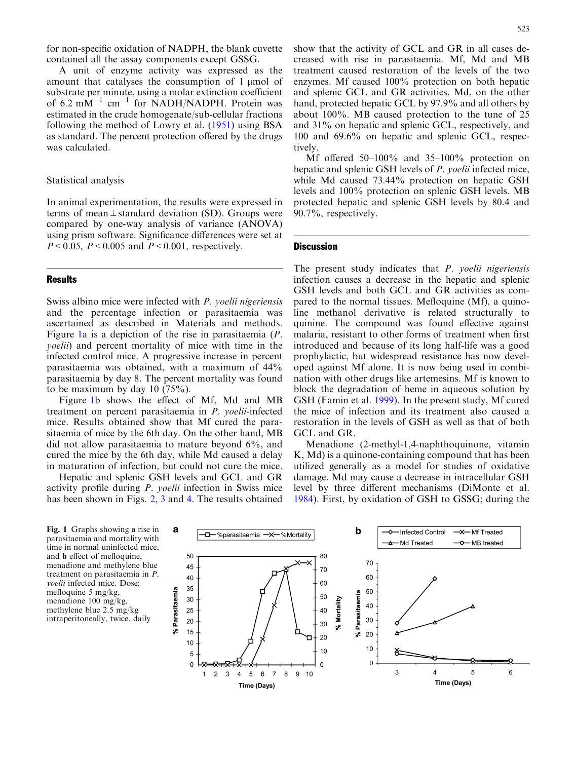for non-specific oxidation of NADPH, the blank cuvette contained all the assay components except GSSG.

A unit of enzyme activity was expressed as the amount that catalyses the consumption of  $1 \mu$ mol of substrate per minute, using a molar extinction coefficient of 6.2 mM<sup>-1</sup> cm<sup>-1</sup> for NADH/NADPH. Protein was estimated in the crude homogenate/sub-cellular fractions following the method of Lowry et al. [\(1951\)](#page-5-0) using BSA as standard. The percent protection offered by the drugs was calculated.

# Statistical analysis

In animal experimentation, the results were expressed in terms of mean $\pm$ standard deviation (SD). Groups were compared by one-way analysis of variance (ANOVA) using prism software. Significance differences were set at  $P < 0.05$ ,  $P < 0.005$  and  $P < 0.001$ , respectively.

# **Results**

Swiss albino mice were infected with P. yoelii nigeriensis and the percentage infection or parasitaemia was ascertained as described in Materials and methods. Figure 1a is a depiction of the rise in parasitaemia (P. yoelii) and percent mortality of mice with time in the infected control mice. A progressive increase in percent parasitaemia was obtained, with a maximum of 44% parasitaemia by day 8. The percent mortality was found to be maximum by day 10 (75%).

Figure 1b shows the effect of Mf, Md and MB treatment on percent parasitaemia in P. yoelii-infected mice. Results obtained show that Mf cured the parasitaemia of mice by the 6th day. On the other hand, MB did not allow parasitaemia to mature beyond 6%, and cured the mice by the 6th day, while Md caused a delay in maturation of infection, but could not cure the mice.

Hepatic and splenic GSH levels and GCL and GR activity profile during P. yoelii infection in Swiss mice has been shown in Figs. 2, 3 and [4. The results obtained](#page-4-0)

[creased with rise in parasitaemia. Mf, Md and MB](#page-4-0) [treatment caused restoration of the levels of the two](#page-4-0) [enzymes. Mf caused 100% protection on both hepatic](#page-4-0) [and splenic GCL and GR activities. Md, on the other](#page-4-0) [hand, protected hepatic GCL by 97.9% and all others by](#page-4-0) [about 100%. MB caused protection to the tune of 25](#page-4-0) [and 31% on hepatic and splenic GCL, respectively, and](#page-4-0) [100 and 69.6% on hepatic and splenic GCL, respec](#page-4-0)[tively.](#page-4-0)

[show that the activity of GCL and GR in all cases de-](#page-4-0)

Mf offered 50–100% and 35–100% protection on hepatic and splenic GSH levels of P. yoelii infected mice, while Md caused 73.44% protection on hepatic GSH levels and 100% protection on splenic GSH levels. MB protected hepatic and splenic GSH levels by 80.4 and 90.7%, respectively.

#### **Discussion**

The present study indicates that *P. yoelii nigeriensis* infection causes a decrease in the hepatic and splenic GSH levels and both GCL and GR activities as compared to the normal tissues. Mefloquine (Mf), a quinoline methanol derivative is related structurally to quinine. The compound was found effective against malaria, resistant to other forms of treatment when first introduced and because of its long half-life was a good prophylactic, but widespread resistance has now developed against Mf alone. It is now being used in combination with other drugs like artemesins. Mf is known to block the degradation of heme in aqueous solution by GSH (Famin et al. [1999\)](#page-5-0). In the present study, Mf cured the mice of infection and its treatment also caused a restoration in the levels of GSH as well as that of both GCL and GR.

Menadione (2-methyl-1,4-naphthoquinone, vitamin K, Md) is a quinone-containing compound that has been utilized generally as a model for studies of oxidative damage. Md may cause a decrease in intracellular GSH level by three different mechanisms (DiMonte et al. [1984\)](#page-5-0). First, by oxidation of GSH to GSSG; during the

Fig. 1 Graphs showing a rise in parasitaemia and mortality with time in normal uninfected mice, and b effect of mefloquine, menadione and methylene blue treatment on parasitaemia in P. yoelii infected mice. Dose: mefloquine 5 mg/kg, menadione 100 mg/kg, methylene blue 2.5 mg/kg intraperitoneally, twice, daily

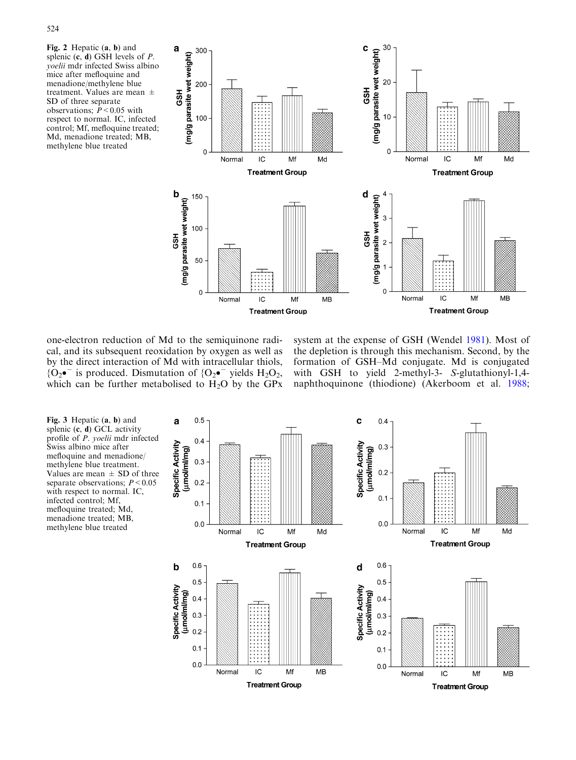

one-electron reduction of Md to the semiquinone radical, and its subsequent reoxidation by oxygen as well as by the direct interaction of Md with intracellular thiols,  ${O_2 \bullet}^-$  is produced. Dismutation of  ${O_2 \bullet}^-$  yields  $H_2O_2$ , which can be further metabolised to  $H_2O$  by the GPx

system at the expense of GSH (Wendel [1981\)](#page-5-0). Most of the depletion is through this mechanism. Second, by the formation of GSH–Md conjugate. Md is conjugated with GSH to yield 2-methyl-3- S-glutathionyl-1,4 naphthoquinone (thiodione) (Akerboom et al. [1988](#page-5-0);

Fig. 3 Hepatic (a, b) and splenic  $(c, d)$  GCL activity profile of P. yoelii mdr infected Swiss albino mice after mefloquine and menadione/ methylene blue treatment. Values are mean  $\pm$  SD of three separate observations;  $P < 0.05$ with respect to normal. IC, infected control; Mf, mefloquine treated; Md, menadione treated; MB, methylene blue treated

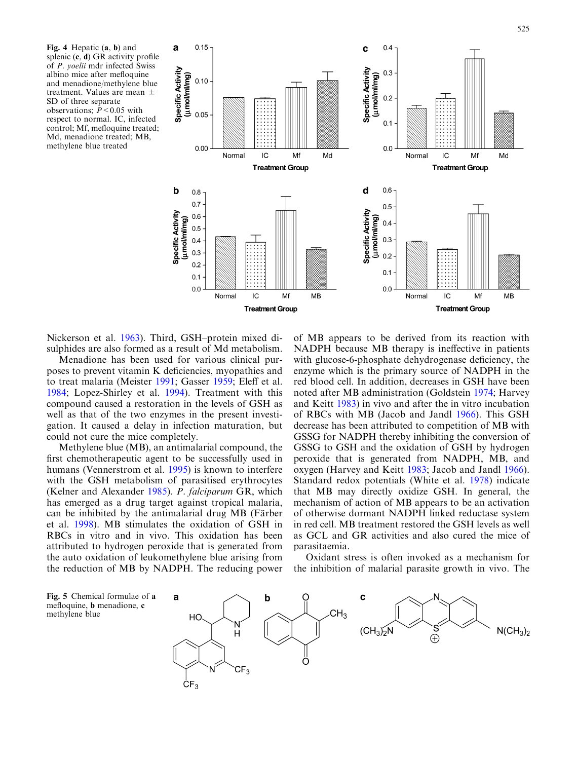<span id="page-4-0"></span>Fig. 4 Hepatic (a, b) and splenic  $(c, d)$  GR activity profile of P. yoelii mdr infected Swiss albino mice after mefloquine and menadione/methylene blue treatment. Values are mean  $\pm$ SD of three separate observations;  $P < 0.05$  with respect to normal. IC, infected control; Mf, mefloquine treated; Md, menadione treated; MB, methylene blue treated



Nickerson et al. [1963\)](#page-5-0). Third, GSH–protein mixed disulphides are also formed as a result of Md metabolism.

Menadione has been used for various clinical purposes to prevent vitamin K deficiencies, myopathies and to treat malaria (Meister [1991;](#page-5-0) Gasser [1959](#page-5-0); Eleff et al. [1984](#page-5-0); Lopez-Shirley et al. [1994\)](#page-5-0). Treatment with this compound caused a restoration in the levels of GSH as well as that of the two enzymes in the present investigation. It caused a delay in infection maturation, but could not cure the mice completely.

Methylene blue (MB), an antimalarial compound, the first chemotherapeutic agent to be successfully used in humans (Vennerstrom et al. [1995\)](#page-5-0) is known to interfere with the GSH metabolism of parasitised erythrocytes (Kelner and Alexander [1985\)](#page-5-0). P. falciparum GR, which has emerged as a drug target against tropical malaria, can be inhibited by the antimalarial drug MB (Färber et al. [1998\)](#page-5-0). MB stimulates the oxidation of GSH in RBCs in vitro and in vivo. This oxidation has been attributed to hydrogen peroxide that is generated from the auto oxidation of leukomethylene blue arising from the reduction of MB by NADPH. The reducing power

methylene blue

of MB appears to be derived from its reaction with NADPH because MB therapy is ineffective in patients with glucose-6-phosphate dehydrogenase deficiency, the enzyme which is the primary source of NADPH in the red blood cell. In addition, decreases in GSH have been noted after MB administration (Goldstein [1974](#page-5-0); Harvey and Keitt [1983](#page-5-0)) in vivo and after the in vitro incubation of RBCs with MB (Jacob and Jandl [1966](#page-5-0)). This GSH decrease has been attributed to competition of MB with GSSG for NADPH thereby inhibiting the conversion of GSSG to GSH and the oxidation of GSH by hydrogen peroxide that is generated from NADPH, MB, and oxygen (Harvey and Keitt [1983;](#page-5-0) Jacob and Jandl [1966\)](#page-5-0). Standard redox potentials (White et al. [1978](#page-5-0)) indicate that MB may directly oxidize GSH. In general, the mechanism of action of MB appears to be an activation of otherwise dormant NADPH linked reductase system in red cell. MB treatment restored the GSH levels as well as GCL and GR activities and also cured the mice of parasitaemia.

Oxidant stress is often invoked as a mechanism for the inhibition of malarial parasite growth in vivo. The